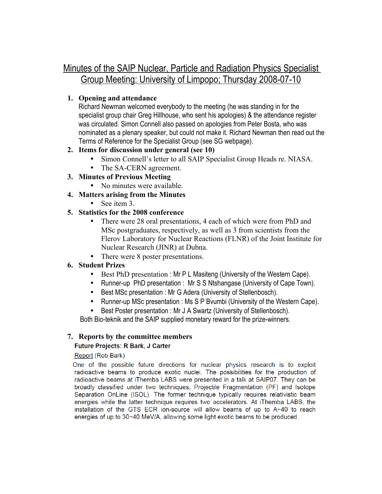# Minutes of the SAIP Nuclear, Particle and Radiation Physics Specialist Group Meeting: University of Limpopo; Thursday 2008-07-10

# **1. Opening and attendance**

Richard Newman welcomed everybody to the meeting (he was standing in for the specialist group chair Greg Hillhouse, who sent his apologies) & the attendance register was circulated. Simon Connell also passed on apologies from Peter Bosta, who was nominated as a plenary speaker, but could not make it. Richard Newman then read out the Terms of Reference for the Specialist Group (see SG webpage).

# **2. Items for discussion under general (see 10)**

- Simon Connell's letter to all SAIP Specialist Group Heads re. NIASA.
- The SA-CERN agreement.
- **3. Minutes of Previous Meeting**
	- No minutes were available.
- **4. Matters arising from the Minutes**
	- See item 3.

# **5. Statistics for the 2008 conference**

- There were 28 oral presentations, 4 each of which were from PhD and MSc postgraduates, respectively, as well as 3 from scientists from the Flerov Laboratory for Nuclear Reactions (FLNR) of the Joint Institute for Nuclear Research (JINR) at Dubna.
- There were 8 poster presentations.

# **6. Student Prizes**

- Best PhD presentation : Mr P L Masiteng (University of the Western Cape).
- Runner-up PhD presentation : Mr S S Ntshangase (University of Cape Town).
- Best MSc presentation : Mr G Adera (University of Stellenbosch).
- Runner-up MSc presentation : Ms S P Bvumbi (University of the Western Cape).
- Best Poster presentation : Mr J A Swartz (University of Stellenbosch).

Both Bio-teknik and the SAIP supplied monetary reward for the prize-winners.

# **7. Reports by the committee members**

# **Future Projects: R Bark, J Carter**

# Report (Rob Bark)

One of the possible future directions for nuclear physics research is to exploit radioactive beams to produce exotic nuclei. The possibilities for the production of radioactive beams at iThemba LABS were presented in a talk at SAIP07. They can be broadly classified under two techniques, Projectile Fragmentation (PF) and Isotope Separation OnLine (ISOL). The former technique typically requires relativistic beam energies while the latter technique requires two accelerators. At iThemba LABS, the installation of the GTS ECR ion-source will allow beams of up to A~40 to reach energies of up to 30~40 MeV/A, allowing some light exotic beams to be produced.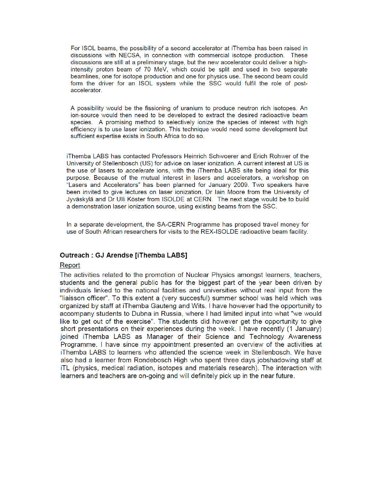For ISOL beams, the possibility of a second accelerator at iThemba has been raised in discussions with NECSA, in connection with commercial isotope production. These discussions are still at a preliminary stage, but the new accelerator could deliver a highintensity proton beam of 70 MeV, which could be split and used in two separate beamlines, one for isotope production and one for physics use. The second beam could form the driver for an ISOL system while the SSC would fulfil the role of postaccelerator.

A possibility would be the fissioning of uranium to produce neutron rich isotopes. An ion-source would then need to be developed to extract the desired radioactive beam species. A promising method to selectively ionize the species of interest with high efficiency is to use laser ionization. This technique would need some development but sufficient expertise exists in South Africa to do so.

iThemba LABS has contacted Professors Heinrich Schwoerer and Erich Rohwer of the University of Stellenbosch (US) for advice on laser ionization. A current interest at US is the use of lasers to accelerate ions, with the iThemba LABS site being ideal for this purpose. Because of the mutual interest in lasers and accelerators, a workshop on "Lasers and Accelerators" has been planned for January 2009. Two speakers have been invited to give lectures on laser ionization, Dr lain Moore from the University of Jyväskylä and Dr Ulli Köster from ISOLDE at CERN. The next stage would be to build a demonstration laser ionization source, using existing beams from the SSC.

In a separate development, the SA-CERN Programme has proposed travel money for use of South African researchers for visits to the REX-ISOLDE radioactive beam facility.

#### **Outreach: GJ Arendse liThemba LABS1**

#### Report

The activities related to the promotion of Nuclear Physics amongst learners, teachers, students and the general public has for the biggest part of the year been driven by individuals linked to the national facilities and universities without real input from the "liaisson officer". To this extent a (very succesful) summer school was held which was organized by staff at iThemba Gauteng and Wits. I have however had the opportunity to accompany students to Dubna in Russia, where I had limited input into what "we would like to get out of the exercise". The students did however get the opportunity to give short presentations on their experiences during the week. I have recently (1 January) joined iThemba LABS as Manager of their Science and Technology Awareness Programme. I have since my appointment presented an overview of the activities at iThemba LABS to learners who attended the science week in Stellenbosch. We have also had a learner from Rondebosch High who spent three days jobshadowing staff at iTL (physics, medical radiation, isotopes and materials research). The interaction with learners and teachers are on-going and will definitely pick up in the near future.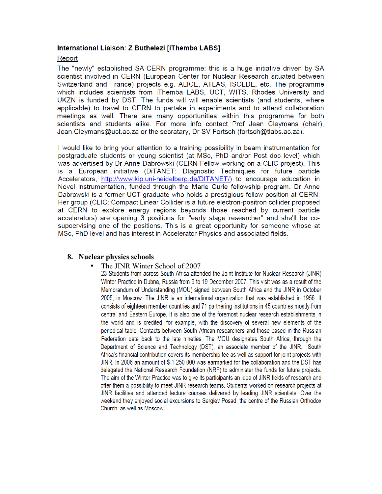### International Liaison: Z Buthelezi [iThemba LABS]

### Report

The "newly" established SA-CERN programme: this is a huge initiative driven by SA scientist involved in CERN (European Center for Nuclear Research situated between Switzerland and France) projects e.g. ALICE, ATLAS, ISOLDE, etc. The programme which includes scientists from iThemba LABS, UCT, WITS, Rhodes University and UKZN is funded by DST. The funds will will enable scientists (and students, where applicable) to travel to CERN to partake in experiments and to attend collaboration meetings as well. There are many opportunities within this programme for both scientists and students alike. For more info contact Prof Jean Cleymans (chair), Jean.Cleymans@uct.ac.za or the secratary. Dr SV Fortsch (fortsch@tlabs.ac.za).

I would like to bring your attention to a training possibility in beam instrumentation for postgraduate students or young scientist (at MSc, PhD and/or Post doc level) which was advertised by Dr Anne Dabrowski (CERN Fellow working on a CLIC project). This is a European initiative (DiTANET: Dlagnostic Techniques for future particle Accelerators, http://www.kip.uni-heidelberg.de/DITANET/) to encourage education in Novel instrumentation, funded through the Marie Curie fellowship program. Dr Anne Dabrowski is a former UCT graduate who holds a prestigious fellow position at CERN. Her group (CLIC: Compact Linear Collider is a future electron-positron collider proposed at CERN to explore energy regions beyonds those reached by current particle accelerators) are opening 3 positions for "early stage researcher" and she'll be cosupoervising one of the positions. This is a great opportunity for someone whose at MSc, PhD level and has interest in Accelerator Physics and associated fields.

### **8. Nuclear physics schools**

The JINR Winter School of 2007<br>23 Students from across South Africa attended the Joint Institute for Nuclear Research (JINR) Winter Practice in Dubna, Russia from 9 to 19 December 2007. This visit was as a result of the Memorandum of Understanding (MOU) signed between South Africa and the JINR in October 2005, in Moscow. The JINR is an international organization that was established in 1956. It consists of eighteen member countries and 71 partnering institutions in 45 countries mostly from central and Eastern Europe. It is also one of the foremost nuclear research establishments in the world and is credited, for example, with the discovery of several new elements of the periodical table. Contacts between South African researchers and those based in the Russian Federation date back to the late nineties. The MOU designates South Africa, through the Department of Science and Technology (DST), an associate member of the JINR. South Africa's financial contribution covers its membership fee as well as support for joint projects with JINR. In 2006 an amount of \$1250 000 was earmarked for the collaboration and the DST has delegated the National Research Foundation (NRF) to administer the funds for future projects. The aim of the Winter Practice was to give its participants an idea of JINR fields of research and offer them a possibility to meet JINR research teams. Students worked on research projects at JINR facilities and attended lecture courses delivered by leading JINR scientists. Over the weekend they enjoyed social excursions to Sergiev Posad, the centre of the Russian Orthodox Church. as well as Moscow.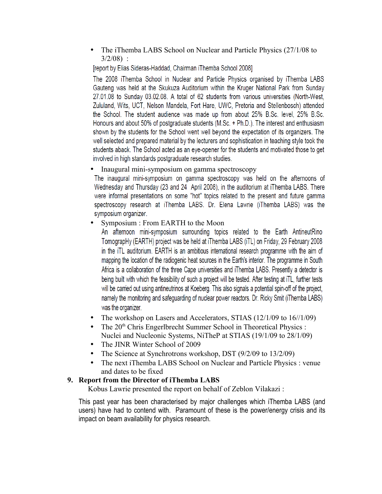• The iThemba LABS School on Nuclear and Particle Physics (27/1/08 to 3/2/08) :

[report by Elias Sideras-Haddad, Chairman iThemba School 2008]

The 2008 iThemba School in Nuclear and Particle Physics organised by iThemba LABS Gauteng was held at the Skukuza Auditorium within the Kruger National Park from Sunday 27.01.08 to Sunday 03.02.08. A total of 62 students from various universities (North-West, Zululand, Wits, UCT, Nelson Mandela, Fort Hare, UWC, Pretoria and Stellenbosch) attended the School. The student audience was made up from about 25% B.Sc. level, 25% B.Sc. Honours and about 50% of postgraduate students (M.Sc. + Ph.D.). The interest and enthusiasm shown by the students for the School went well beyond the expectation of its organizers. The well selected and prepared material by the lecturers and sophistication in teaching style took the students aback. The School acted as an eye-opener for the students and motivated those to get involved in high standards postgraduate research studies.

• Inaugural mini-symposium on gamma spectroscopy

The inaugural mini-symposium on gamma spectroscopy was held on the afternoons of Wednesday and Thursday (23 and 24 April 2008), in the auditorium at iThemba LABS. There were informal presentations on some "hot" topics related to the present and future gamma spectroscopy research at iThemba LABS. Dr. Elena Lawrie (iThemba LABS) was the symposium organizer.

• Symposium : From EARTH to the Moon

An afternoon mini-symposium surrounding topics related to the Earth AntineutRino TomograpHy (EARTH) project was be held at iThemba LABS (iTL) on Friday, 29 February 2008 in the iTL auditorium. EARTH is an ambitious international research programme with the aim of mapping the location of the radiogenic heat sources in the Earth's interior. The programme in South Africa is a collaboration of the three Cape universities and iThemba LABS. Presently a detector is being built with which the feasibility of such a project will be tested. After testing at iTL, further tests will be carried out using antineutrinos at Koeberg. This also signals a potential spin-off of the project, namely the monitoring and safeguarding of nuclear power reactors. Dr. Ricky Smit (iThemba LABS) was the organizer.

- The workshop on Lasers and Accelerators, STIAS (12/1/09 to 16//1/09)
- The  $20<sup>th</sup>$  Chris Engerlbrecht Summer School in Theoretical Physics : Nuclei and Nucleonic Systems, NiTheP at STIAS (19/1/09 to 28/1/09)
- The JINR Winter School of 2009
- The Science at Synchrotrons workshop, DST (9/2/09 to 13/2/09)
- The next iThemba LABS School on Nuclear and Particle Physics : venue and dates to be fixed

# **9. Report from the Director of iThemba LABS**

Kobus Lawrie presented the report on behalf of Zeblon Vilakazi :

This past year has been characterised by major challenges which iThemba LABS (and users) have had to contend with. Paramount of these is the power/energy crisis and its impact on beam availability for physics research.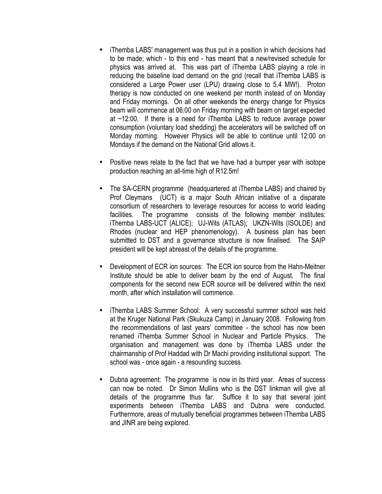- iThemba LABS' management was thus put in a position in which decisions had to be made; which - to this end - has meant that a new/revised schedule for physics was arrived at. This was part of iThemba LABS playing a role in reducing the baseline load demand on the grid (recall that iThemba LABS is considered a Large Power user (LPU) drawing close to 5.4 MW!). Proton therapy is now conducted on one weekend per month instead of on Monday and Friday mornings. On all other weekends the energy change for Physics beam will commence at 06:00 on Friday morning with beam on target expected at ~12:00. If there is a need for iThemba LABS to reduce average power consumption (voluntary load shedding) the accelerators will be switched off on Monday morning. However Physics will be able to continue until 12:00 on Mondays if the demand on the National Grid allows it.
- Positive news relate to the fact that we have had a bumper year with isotope production reaching an all-time high of R12.5m!
- The SA-CERN programme (headquartered at iThemba LABS) and chaired by Prof Cleymans (UCT) is a major South African initiative of a disparate consortium of researchers to leverage resources for access to world leading facilities. The programme consists of the following member institutes: iThemba LABS-UCT (ALICE); UJ-Wits (ATLAS); UKZN-Wits (ISOLDE) and Rhodes (nuclear and HEP phenomenology). A business plan has been submitted to DST and a governance structure is now finalised. The SAIP president will be kept abreast of the details of the programme.
- Development of ECR ion sources: The ECR ion source from the Hahn-Meitner Institute should be able to deliver beam by the end of August. The final components for the second new ECR source will be delivered within the next month, after which installation will commence.
- iThemba LABS Summer School: A very successful summer school was held at the Kruger National Park (Skukuza Camp) in January 2008. Following from the recommendations of last years' committee - the school has now been renamed iThemba Summer School in Nuclear and Particle Physics. The organisation and management was done by iThemba LABS under the chairmanship of Prof Haddad with Dr Machi providing institutional support. The school was - once again - a resounding success.
- Dubna agreement: The programme is now in its third year. Areas of success can now be noted. Dr Simon Mullins who is the DST linkman will give all details of the programme thus far. Suffice it to say that several joint experiments between iThemba LABS and Dubna were conducted. Furthermore, areas of mutually beneficial programmes between iThemba LABS and JINR are being explored.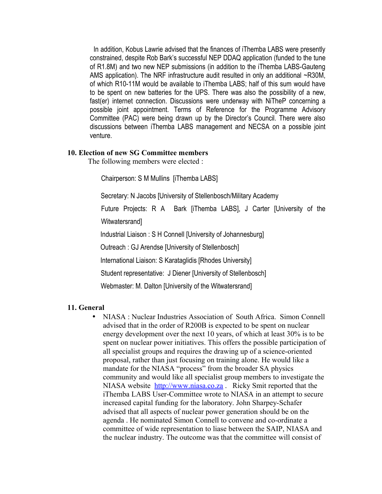In addition, Kobus Lawrie advised that the finances of iThemba LABS were presently constrained, despite Rob Bark's successful NEP DDAQ application (funded to the tune of R1.8M) and two new NEP submissions (in addition to the iThemba LABS-Gauteng AMS application). The NRF infrastructure audit resulted in only an additional ~R30M, of which R10-11M would be available to iThemba LABS; half of this sum would have to be spent on new batteries for the UPS. There was also the possibility of a new, fast(er) internet connection. Discussions were underway with NiTheP concerning a possible joint appointment. Terms of Reference for the Programme Advisory Committee (PAC) were being drawn up by the Director's Council. There were also discussions between iThemba LABS management and NECSA on a possible joint venture.

### **10. Election of new SG Committee members**

The following members were elected :

Chairperson: S M Mullins [iThemba LABS]

Secretary: N Jacobs [University of Stellenbosch/Military Academy

Future Projects: R A Bark [iThemba LABS], J Carter [University of the Witwatersrand]

Industrial Liaison : S H Connell [University of Johannesburg]

Outreach : GJ Arendse [University of Stellenbosch]

International Liaison: S Karataglidis [Rhodes University]

Student representative: J Diener [University of Stellenbosch]

Webmaster: M. Dalton [University of the Witwatersrand]

### **11. General**

• NIASA : Nuclear Industries Association of South Africa. Simon Connell advised that in the order of R200B is expected to be spent on nuclear energy development over the next 10 years, of which at least 30% is to be spent on nuclear power initiatives. This offers the possible participation of all specialist groups and requires the drawing up of a science-oriented proposal, rather than just focusing on training alone. He would like a mandate for the NIASA "process" from the broader SA physics community and would like all specialist group members to investigate the NIASA website [http://www.niasa.co.za](http://www.niasa.co.za/) . Ricky Smit reported that the iThemba LABS User-Committee wrote to NIASA in an attempt to secure increased capital funding for the laboratory. John Sharpey-Schafer advised that all aspects of nuclear power generation should be on the agenda . He nominated Simon Connell to convene and co-ordinate a committee of wide representation to liase between the SAIP, NIASA and the nuclear industry. The outcome was that the committee will consist of